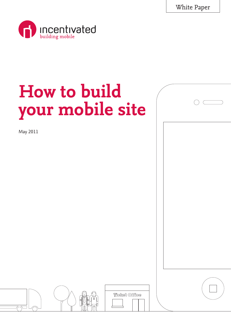White Paper

 $\bigcap$  (



# **How to build your mobile site**

May 2011



Tieke! Office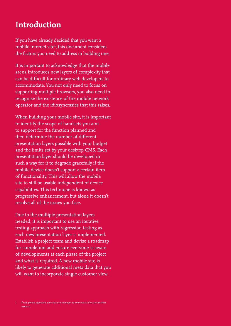### **Introduction**

If you have already decided that you want a mobile internet site<sup>1</sup>, this document considers the factors you need to address in building one.

It is important to acknowledge that the mobile arena introduces new layers of complexity that can be difficult for ordinary web developers to accommodate. You not only need to focus on supporting multiple browsers, you also need to recognise the existence of the mobile network operator and the idiosyncrasies that this raises.

When building your mobile site, it is important to identify the scope of handsets you aim to support for the function planned and then determine the number of different presentation layers possible with your budget and the limits set by your desktop CMS. Each presentation layer should be developed in such a way for it to degrade gracefully if the mobile device doesn't support a certain item of functionality. This will allow the mobile site to still be usable independent of device capabilities. This technique is known as progressive enhancement, but alone it doesn't resolve all of the issues you face.

Due to the multiple presentation layers needed, it is important to use an iterative testing approach with regression testing as each new presentation layer is implemented. Establish a project team and devise a roadmap for completion and ensure everyone is aware of developments at each phase of the project and what is required. A new mobile site is likely to generate additional meta data that you will want to incorporate single customer view.

<sup>1</sup> If not, please approach your account manager to see case studies and market research.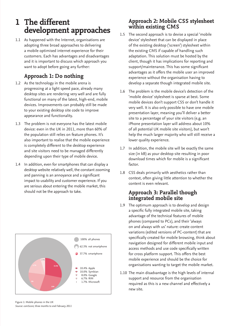## **1 The different development approaches**

1.1 As happened with the Internet, organisations are adopting three broad approaches to delivering a mobile optimised internet experience for their customers. Each has advantages and disadvantages and it is important to discuss which approach you want to adopt before going any further:

#### **Approach 1: Do nothing**

- 1.2 As the technology in the mobile arena is progressing at a light speed pace, already many desktop sites are rendering very well and are fully functional on many of the latest, high-end, mobile devices. Improvements can probably still be made to your existing desktop site code to improve appearance and functionality.
- 1.3 The problem is not everyone has the latest mobile device: even in the UK in 2011, more than 60% of the population still relies on feature phones. It's also important to realise that the mobile experience is completely different to the desktop experience and site visitors need to be managed differently depending upon their type of mobile device.
- 1.4 In addition, even for smartphones that can display a desktop website relatively well, the constant zooming and panning is an annoyance and a significant impact to usability and customer experience. If you are serious about entering the mobile market, this should not be the approach to take.



#### **Approach 2: Mobile CSS stylesheet within existing CMS**

- 1.5 The second approach is to devise a special 'mobile device' stylesheet that can be displayed in place of the existing desktop ('screen') stylesheet within the existing CMS if capable of handling such adaptation. This solution must be hosted by the client, though it has implications for reporting and support/maintenance. This has some significant advantages as it offers the mobile user an improved experience without the organisation having to develop a separate though integrated mobile site.
- 1.6 The problem is the mobile device's detection of the 'mobile device' stylesheet is sparse at best. Some mobile devices don't support CSS or don't handle it very well. It is also only possible to have one mobile presentation layer, meaning you'll deliver a better site to a percentage of your site visitors (e.g. an iPhone presentation layer will address about 10% of all potential UK mobile site visitors), but won't help the much larger majority who will still receive a lower quality experience.
- 1.7 In addition, the mobile site will be exactly the same size (in kB) as your desktop site resulting in poor download times which for mobile is a significant factor.
- 1.8 CSS deals primarily with aesthetics rather than context, often giving little attention to whether the content is even relevant.

## **Approach 3: Parallel though integrated mobile site**

- 1.9 The optimum approach is to develop and design a specific fully integrated mobile site, taking advantage of the technical features of mobile phones (compared to PCs), and their 'always on and always with us' nature: create content variations (edited versions of PC-content) that are specifically created for mobile browsing, think about navigation designed for different mobile input and access methods and use code specifically written for cross platform support. This offers the best mobile experience and should be the choice for organisations wanting to target the mobile market.
- 1.10 The main disadvantage is the high levels of internal support and resource from the organisation required as this is a new channel and effectively a new site.

Figure 1: Mobile phones in the UK *Source: comScore; three months to end February 2011*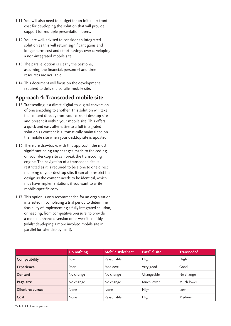- 1.11 You will also need to budget for an initial up-front cost for developing the solution that will provide support for multiple presentation layers.
- 1.12 You are well-advised to consider an integrated solution as this will return significant gains and longer-term cost and effort-savings over developing a non-integrated mobile site.
- 1.13 The parallel option is clearly the best one, assuming the financial, personnel and time resources are available.
- 1.14 This document will focus on the development required to deliver a parallel mobile site.

#### **Approach 4: Transcoded mobile site**

- 1.15 Transcoding is a direct digital-to-digital conversion of one encoding to another. This solution will take the content directly from your current desktop site and present it within your mobile site. This offers a quick and easy alternative to a full integrated solution as content is automatically maintained on the mobile site when your desktop site is updated.
- 1.16 There are drawbacks with this approach; the most significant being any changes made to the coding on your desktop site can break the transcoding engine. The navigation of a transcoded site is restricted as it is required to be a one to one direct mapping of your desktop site. It can also restrict the design as the content needs to be identical, which may have implementations if you want to write mobile-specific copy.
- 1.17 This option is only recommended for an organisation interested in completing a trial period to determine feasibility of implementing a fully integrated solution, or needing, from competitive pressure, to provide a mobile-enhanced version of its website quickly (whilst developing a more involved mobile site in parallel for later deployment).

|                         | Do nothing | Mobile stylesheet | Parallel site | <b>Transcoded</b> |
|-------------------------|------------|-------------------|---------------|-------------------|
| Compatibility           | LOW        | Reasonable        | High          | High              |
| <b>Experience</b>       | Poor       | Mediocre          | Very good     | Good              |
| Content                 | No change  | No change         | Changeable    | No change         |
| Page size               | No change  | No change         | Much lower    | Much lower        |
| <b>Client resources</b> | None       | None              | High          | Low               |
| Cost                    | None       | Reasonable        | High          | Medium            |

Table 1: Solution comparison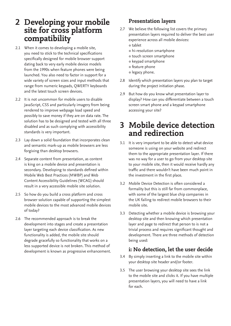## **2 Developing your mobile site for cross platform compatibility**

- 2.1 When it comes to developing a mobile site, you need to stick to the technical specifications specifically designed for mobile browser support dating back to very early mobile device models from the 1990s when feature phones were being launched. You also need to factor in support for a wide variety of screen sizes and input methods that range from numeric keypads, QWERTY keyboards and the latest touch screen devices.
- 2.2 It is not uncommon for mobile users to disable JavaScript, CSS and particularly imagery from being rendered to improve webpage load speed and possibly to save money if they are on data rate. The solution has to be designed and tested with all three disabled and as such complying with accessibility standards is very important.
- 2.3 Lay down a solid foundation that incorporates clean and semantic mark-up as mobile browsers are less forgiving than desktop browsers.
- 2.4 Separate content from presentation, as content is king on a mobile device and presentation is secondary. Developing to standards defined within Mobile Web Best Practices (MWBP) and Web Content Accessibility Guidelines (WCAG) should result in a very accessible mobile site solution.
- 2.5 So how do you build a cross platform and cross browser solution capable of supporting the simplest mobile devices to the most advanced mobile devices of today?
- 2.6 The recommended approach is to break the development into stages and create a presentation layer targeting each device classification. As new functionality is added, the mobile site should degrade gracefully so functionality that works on a less supported device is not broken. This method of development is known as progressive enhancement.

#### **Presentation layers**

- 2.7 We believe the following list covers the primary presentation layers required to deliver the best user experience across all mobile devices: tablet
	-
	- hi-resolution smartphone
	- $\bullet$  touch screen smartphone
	- · keypad smartphone
	- o feature phone
	- o legacy phone.
- 2.8 Identify which presentation layers you plan to target during the project initiation phase.
- 2.9 But how do you know what presentation layer to display? How can you differentiate between a touch screen smart phone and a keypad smartphone accessing your site?

## **3 Mobile device detection and redirection**

- 3.1 It is very important to be able to detect what device someone is using on your website and redirect them to the appropriate presentation layer. If there was no way for a user to go from your desktop site to your mobile site, then it would receive hardly any traffic and there wouldn't have been much point in the investment in the first place.
- 3.2 Mobile Device Detection is often considered a formality but this is still far from commonplace, with some of the largest blue chip companies in the UK failing to redirect mobile browsers to their mobile site.
- 3.3 Detecting whether a mobile device is browsing your desktop site and then knowing which presentation layer and page to redirect that person to is not a trivial process and requires significant thought and development. There are three methods of detection being used:

#### **i: No detection, let the user decide**

- 3.4 By simply inserting a link to the mobile site within your desktop site header and/or footer.
- 3.5 The user browsing your desktop site sees the link to the mobile site and clicks it. If you have multiple presentation layers, you will need to have a link for each.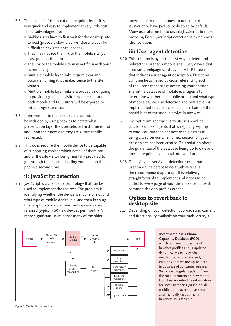- 3.6 The benefits of this solution are quite clear it is very quick and easy to implement at very little cost. The disadvantages are:
	- Mobile users have to first wait for the desktop site to load (probably slow, displays idiosyncratically, difficult to navigate once loaded).
	- They may not see the link to the mobile site (at least put it at the top).
	- The link to the mobile site may not fit in with your current design.
	- Multiple mobile layer links require clear and accurate naming (that makes sense to the site visitor).
	- Multiple mobile layer links are probably not going to provide a good site visitor experience – and both mobile and PC visitors will be exposed to this strange site choice).
- 3.7 Improvement to the user experience could be included by using cookies to detect what presentation layer the user selected first time round and upon their next visit they are automatically redirected.
- 3.8 This does require the mobile device to be capable of supporting cookies which not all of them can, and of the site visitor being mentally prepared to go through the effort of loading your site on their phone a second time.

#### **ii: JavaScript detection**

3.9 JavaScript is a client side technology that can be used to implement the redirect. The problem is identifying whether the device is mobile or not and what type of mobile device it is, and then keeping this script up to date as new mobile devices are released (typically 50 new devices per month). A more significant issue is that many of the older

browsers on mobile phones do not support JavaScript or have JavaScript disabled by default. Many uses also prefer to disable JavaScript to make browsing faster. JavaScript detection is by no way an ideal solution.

#### **iii: User agent detection**

- 3.10 This solution is by far the best way to detect and redirect the user to a mobile site. Every device that accesses a webpage sends over a HTTP header that includes a user agent description. Detection can then be achieved by cross referencing each of the user agent strings accessing your desktop site with a database of mobile user agents to determine whether it is mobile or not and what type of mobile device. The detection and redirection is implemented server side so it is not reliant on the capabilities of the mobile device in any way.
- 3.11 The optimum approach is to utilise an online database of user agents that is regularly kept up to date. You can then connect to this database using a web service when a new session on your desktop site has been created. This solution offers the guarantee of the database being up to date and doesn't require any manual intervention.
- 3.13 Deploying a User Agent detection script that uses an online database via a web service is the recommended approach. It is relatively straightforward to implement and needs to be added to every page of your desktop site, but with common desktop profiles cached.

## **Option to revert back to desktop site**

3.14 Depending on your detection approach and content and functionality available on your mobile site, it

> Incentivated has a **Phone Capability Database (PCD)**  which contains thousands of handset profiles and is updated dynamically each day when new firmwares are released, ensuring that we are up-to-date in advance of consumer release. We receive regular updates from the manufacturers on new model launches, monitor the information for inconsistencies (based on all mobile traffic over our servers) and manually test as many handsets as is feasible.



Figure 2: Mobile site re-direction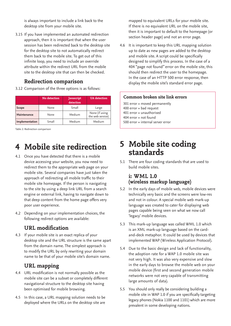is always important to include a link back to the desktop site from your mobile site.

3.15 If you have implemented an automated redirection approach, then it is important that when the user session has been redirected back to the desktop site for the desktop site to not automatically redirect them back to the mobile site. To get out of this infinite loop, you need to include an override attribute within the redirect URL from the mobile site to the desktop site that can then be checked.

#### **Redirection comparison**

3.12 Comparison of the three options is as follows:

|                | No detection | Javascript<br>detection | <b>UA</b> detection                |
|----------------|--------------|-------------------------|------------------------------------|
| Scope          | None         | Small                   | Large                              |
| Maintenance    | None         | Medium                  | None (if using<br>the web service) |
| Implementation | Small        | Medium                  | Medium                             |

Table 2: Redirection comparison

## **4 Mobile site redirection**

- 4.1 Once you have detected that there is a mobile device accessing your website, you now need to redirect them to the appropriate web page on your mobile site. Several companies have just taken the approach of redirecting all mobile traffic to their mobile site homepage. If the person is navigating to the site by using a deep link URL from a search engine or external link, having to navigate down to that deep content from the home page offers very poor user experience.
- 4.2 Depending on your implementation choices, the following redirect options are available:

#### **URL modification**

4.3 If your mobile site is an exact replica of your desktop site and the URL structure is the same apart from the domain name. The simplest approach is to modify the URL by only rewriting your domain name to be that of your mobile site's domain name.

#### **URL mapping**

- 4.4 URL modification is not normally possible as the mobile site can be a subset or completely different navigational structure to the desktop site having been optimised for mobile browsing.
- 4.5 In this case, a URL mapping solution needs to be deployed where the URLs on the desktop site are

mapped to equivalent URLs for your mobile site. If there is no equivalent URL on the mobile site, then it is important to default to the homepage (or section header page) and not an error page.

4.6 It is important to keep this URL mapping solution up to date as new pages are added to the desktop and mobile site. A script could be specifically designed to simplify this process. In the case of a 404 "page not found" error on the mobile site, this should then redirect the user to the homepage. In the case of an HTTP 500 error response, then display the mobile site's standard error page.

#### **Common broken site link errors**

301 error = moved permanently 400 error = bad request 401 error = unauthorised 404 error = not found 500 error = internal server error

## **5 Mobile site coding standards**

5.1 There are four coding standards that are used to build mobile sites.

#### **i: WML 1.0 (wireless markup language)**

- 5.2 In the early days of mobile web, mobile devices were technically very basic and the screens were low-res and not in colour. A special mobile web mark-up language was created to cater for displaying web pages capable being seen on what we now call 'legacy' mobile devices.
- 5.3 This mark-up language was called WML 1.0 which is an XML mark-up language based on the cardand-deck metaphor. It could be used by devices that implemented WAP (Wireless Application Protocol).
- 5.4 Due to the basic design and lack of functionality, the adoption rate for a WAP 1.0 mobile site was not very high. It was also very expensive and slow in the early days to browse the mobile web on your mobile device (first and second generation mobile networks were not very capable of transmitting large amounts of data).
- 5.5 You should only really be considering building a mobile site in WAP 1.0 if you are specifically targeting legacy phones (Nokia 1100 and 1101) which are more prevalent in some developing nations.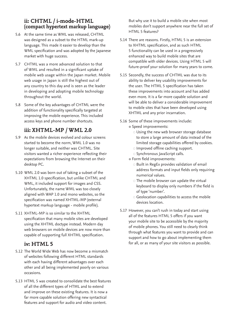#### **ii: CHTML / i-mode-HTML (compact hypertext markup language)**

- 5.6 At the same time as WML was released, CHTML was designed as a subset to the HTML mark-up language. This made it easier to develop than the WML specification and was adopted by the Japanese market with huge success.
- 5.7 CHTML was a more advanced solution to that of WML and resulted in a significant uptake of mobile web usage within the Japan market. Mobile web usage in Japan is still the highest out of any country to this day and is seen as the leader in developing and adopting mobile technology throughout the world.
- 5.8 Some of the key advantages of CHTML were the addition of functionality specifically targeted at improving the mobile experience. This included access keys and phone number shortcuts.

#### **iii: XHTML-MP / WML 2.0**

- 5.9 As the mobile devices evolved and colour screens started to become the norm, WML 1.0 was no longer suitable, and neither was CHTML. Site visitors wanted a richer experience reflecting their expectations from browsing the Internet on their desktop PC.
- 5.10 WML 2.0 was born out of taking a subset of the XHTML 1.0 specification, but unlike CHTML and WML, it included support for images and CSS. Unfortunately, the name WML was too closely aligned with WAP 1.0 and mono websites, so the specification was named XHTML-MP (external hypertext markup language - mobile profile).
- 5.11 XHTML-MP is so similar to the XHTML specification that many mobile sites are developed using the XHTML doctype instead. Modern day web browsers on mobile devices are now more than capable of supporting full XHTML specification.

#### **iv: HTML 5**

- 5.12 The World Wide Web has now become a mismatch of websites following different HTML standards with each having different advantages over each other and all being implemented poorly on various occasions.
- 5.13 HTML 5 was created to consolidate the best features of all the different types of HTML and to extend and improve on these existing features. It is now a far more capable solution offering new syntactical features and support for audio and video content.

But why use it to build a mobile site when most mobiles don't support anywhere near the full set of HTML 5 features?

- 5.14 There are reasons. Firstly, HTML 5 is an extension to XHTML specification, and as such HTML 5 functionality can be used in a progressively enhanced way to build mobile sites that are compatible with older devices. Using HTML 5 will future-proof your solution for many years to come.
- 5.15 Secondly, the success of CHTML was due to its ability to deliver key usability improvements for the user. The HTML 5 specification has taken these improvements into account and has added even more. It is a far more capable solution and will be able to deliver a considerable improvement to mobile sites that have been developed using XHTML and any prior incarnation.
- 5.16 Some of these improvements include:
	- Speed improvements:
		- Using the new web browser storage database to store a large amount of data instead of the limited storage capabilities offered by cookies.
		- $\circ$  Improved offline caching support.
		- Synchronous JavaScript calls.
	- Form field improvements:
		- Built in RegEx provides validation of email address formats and input fields only requiring numerical values.
		- $\circ$  The mobile browser can update the virtual keyboard to display only numbers if the field is of type 'number'.
		- Geolocation capabilities to access the mobile devices location.
- 5.17 However, you can't rush in today and start using all of the features HTML 5 offers if you want your mobile site to be accessible by the majority of mobile phones. You still need to clearly think through what features you want to provide and can support and how to go about implementing them for all, or as many of your site visitors as possible.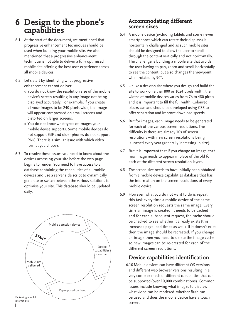## **6 Design to the phone's capabilities**

- 6.1 At the start of the document, we mentioned that progressive enhancement techniques should be used when building your mobile site. We also mentioned that a progressive enhancement technique is not able to deliver a fully optimised mobile site offering the best user experience across all mobile devices.
- 6.2 Let's start by identifying what progressive enhancement cannot deliver:
	- You do not know the resolution size of the mobile device's screen resulting in any image not being displayed accurately. For example, if you create all your images to be 240 pixels wide, the image will appear compressed on small screens and distorted on larger screens.
	- You do not know what types of images your mobile device supports. Some mobile devices do not support GIF and older phones do not support PNG. There is a similar issue with which video format you choose.
- 6.3 To resolve these issues you need to know about the devices accessing your site before the web page begins to render. You need to have access to a database containing the capabilities of all mobile devices and use a server side script to dynamically generate or switch between the various solutions to optimise your site. This database should be updated daily.



#### **Accommodating different screen sizes**

- 6.4 A mobile device (excluding tablets and some newer smartphones which can rotate their displays) is horizontally challenged and as such mobile sites should be designed to allow the user to scroll through the content vertically and not horizontally. The challenge is building a mobile site that avoids the user having to pan, zoom and scroll horizontally to see the content, but also changes the viewpoint when rotated by 90°.
- 6.5 Unlike a desktop site where you design and build the site to work on either 800 or 1024 pixels width, the widths of mobile devices varies from 76 to 480 pixels and it is important to fill the full width. Coloured blocks can and should be developed using CSS to offer separation and improve download speeds.
- 6.6 But for images, each image needs to be generated for each of the various screen resolutions. The difficulty is there are already 10s of screen resolutions with new screen resolutions being launched every year (generally increasing in size).
- 6.7 But it is important that if you change an image, that new image needs to appear in place of the old for each of the different screen resolution layers.
- 6.8 The screen size needs to have initially been obtained from a mobile device capabilities database that has the information on the screen resolutions of every mobile device.
- 6.9 However, what you do not want to do is repeat this task every time a mobile device of the same screen resolution requests the same image. Every time an image is created, it needs to be cached and for each subsequent request, the cache should be checked to see whether it already exists (this increases page load times as well). If it doesn't exist then the image should be recreated. If you change an image then you need to delete the image cache so new images can be re-created for each of the different screen resolutions.

#### **Device capabilities identification**

6.10 Mobile devices can have different OS versions and different web browser versions resulting in a very complex mesh of different capabilities that can be supported (over 10,000 combinations). Common issues include knowing what images to display, what video can be rendered, whether flash can be used and does the mobile device have a touch screen.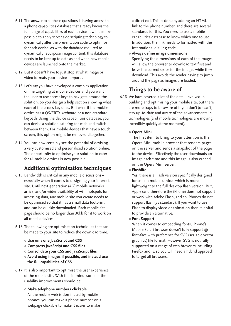- 6.11 The answer to all these questions is having access to a phone capabilities database that already knows the full range of capabilities of each device. It will then be possible to apply server side scripting technology to dynamically alter the presentation code to optimise for each device. As with the database required to dynamically repurpose image content, this database needs to be kept up to date as and when new mobile devices are launched onto the market.
- 6.12 But it doesn't have to just stop at what image or video formats your device supports.
- 6.13 Let's say you have developed a complex application online targeting at mobile devices and you want the user to use access keys to navigate around the solution. So you design a help section showing what each of the access key does. But what if the mobile device has a QWERTY keyboard or a non-standard keypad? Using the device capabilities database, you can devise a solution catering for each and switch between them. For mobile devices that have a touch screen, this option might be removed altogether.
- 6.14 You can now certainly see the potential of devising a very customised and personalised solution online. The opportunity to optimise your solution to cater for all mobile devices is now possible.

#### **Additional optimisation techniques**

- 6.15 Bandwidth is critical in any mobile discussions especially when it comes to designing your internet site. Until next generation (4G) mobile networks arrive, and/or wider availablity of wi-fi hotspots for accessing data, any mobile site you create needs to be optimised so that it has a small data footprint and can be quickly downloaded. Each mobile site page should be no larger than 30kb for it to work on all mobile devices.
- 6.16 The following are optimisation techniques that can be made to your site to reduce the download time.
	- **Use only one JavaScript and CSS**
	- **Compress JavaScript and CSS files**
	- **Consolidate your CSS and JavaScript files**
	- **Avoid using images if possible, and instead use the full capabilities of CSS**
- 6.17 It is also important to optimise the user experience of the mobile site. With this in mind, some of the usability improvements should be:
	- **Make telephone numbers clickable** As the mobile web is dominated by mobile phones, you can make a phone number on a webpage clickable to make it easier to make

a direct call. This is done by adding an HTML link to the phone number, and there are several standards for this. You need to use a mobile capabilities database to know which one to use. In addition, the link needs to formatted with the International dialling code.

**Always define image dimensions**

Specifying the dimensions of each of the images will allow the browser to download text first and leave the correct space for the images while they download. This avoids the reader having to jump around the page as images are loaded.

#### **Things to be aware of**

6.18 We have covered a lot of the detail involved in building and optimising your mobile site, but there are more traps to be aware of if you don't (or can't) stay up-to-date and aware of the advancements in technologies (and mobile technologies are moving incredibly quickly at the moment).

#### **Opera Mini**

The first item to bring to your attention is the Opera Mini mobile browser that renders pages on the server and sends a snapshot of the page to the device. Effectively the user downloads an image each time and this image is also cached on the Opera Mini server.

**Flashlite**

Yes, there is a Flash version specifically designed for use on mobile devices which is more lightweight to the full desktop flash version. But, Apple (and therefore the iPhone) does not support or work with Adobe Flash, and so iPhones do not support flash (as standard). If you want to use Flash to display video or animation then it is vital to provide an alternative.

#### **Font Support**

When it comes to embedding fonts, iPhone's Mobile Safari browser doesn't fully support @ font-face with preference for SVG (scalable vector graphics) file format. However SVG is not fully supported on a range of web browsers including Firefox and IE so you will need a hybrid approach to target all browsers.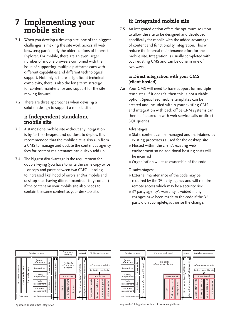## **7 Implementing your mobile site**

- 7.1 When you develop a desktop site, one of the biggest challenges is making the site work across all web browsers; particularly the older editions of Internet Explorer. For mobile, there are an even larger number of mobile browsers combined with the issue of supporting multiple platforms each with different capabilities and different technological support. Not only is there a significant technical complexity, there is also the long term strategy for content maintenance and support for the site moving forward.
- 7.2 There are three approaches when devising a solution design to support a mobile site:

#### **i: Independent standalone mobile site**

- 7.3 A standalone mobile site without any integration is by far the cheapest and quickest to deploy. It is recommended that the mobile site is also run from a CMS to manage and update the content as agency fees for content maintenance can quickly add up.
- 7.4 The biggest disadvantage is the requirement for double keying (you have to write the same copy twice – or copy and paste between two CMS' – leading to increased likelihood of errors and/or mobile and desktop sites having different/contradictory content) if the content on your mobile site also needs to contain the same content as your desktop site.

#### **ii: Integrated mobile site**

7.5 An integrated option offers the optimum solution to allow the site to be designed and developed specifically for mobile with the added advantage of content and functionality integration. This will reduce the internal maintenance effort for the mobile site. Integration is usually completed with your existing CMS and can be done in one of two ways.

#### **a: Direct integration with your CMS (client hosted)**

7.6 Your CMS will need to have support for multiple templates. If it doesn't, then this is not a viable option. Specialised mobile templates can be created and included within your existing CMS and integration with back office CRM systems can then be factored in with web service calls or direct SQL queries.

#### Advantages:

- Static content can be managed and maintained by existing processes as used for the desktop site
- Hosted within the client's existing web environment so no additional hosting costs will be incurred
- Organisation will take ownership of the code

#### Disadvantages:

- External maintenance of the code may be required by the  $3<sup>rd</sup>$  party agency and will require remote access which may be a security risk
- 3<sup>rd</sup> party agency's warranty is voided if any changes have been made to the code if the 3rd party didn't complete/authorise the change.





Approach 2: Integration with an eCommerce platform

Approach 1: back office integration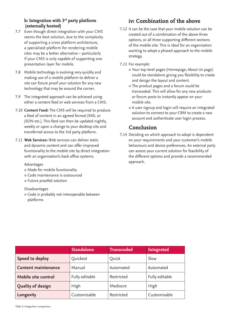#### **b: Integration with 3rd party platform (externally hosted)**

- 7.7 Even though direct integration with your CMS seems the best solution, due to the complexity of supporting a cross platform architecture, a specialised platform for rendering mobile sites may be a better alternative – particularly if your CMS is only capable of supporting one presentation layer for mobile.
- 7.8 Mobile technology is evolving very quickly and making use of a mobile platform to deliver a site can future proof your solution for any new technology that may be around the corner.
- 7.9 The integrated approach can be achieved using either a content feed or web services from a CMS.
- 7.10 **Content Feed:** The CMS will be required to produce a feed of content in an agreed format (XML or JSON etc.). This feed can then be updated nightly, weekly or upon a change to your desktop site and transferred across to the 3rd party platform.
- 7.11 **Web Services:** Web services can deliver static and dynamic content and can offer improved functionality to the mobile site by direct integration with an organisation's back office systems.

#### Advantages

- Made for mobile functionality
- Code maintenance is outsourced
- Future proofed solution

#### Disadvantages

 Code is probably not interoperable between platforms

#### **iv: Combination of the above**

- 7.12 It can be the case that your mobile solution can be created out of a combination of the above three options, or all three supporting different sections of the mobile site. This is ideal for an organisation wanting to adopt a phased approach to the mobile strategy.
- 7.13 For example:
	- Your top level pages (Homepage, About Us page) could be standalone giving you flexibility to create and design the layout and content.
	- The product pages and a forum could be transcoded. This will allow for any new products or forum posts to instantly appear on your mobile site.
	- A user signup and login will require an integrated solution to connect to your CRM to create a new account and authenticate user login process.

#### **Conclusion**

7.14 Deciding on which approach to adopt is dependent on your requirements and your customer's mobile behaviours and device preferences. An external party can assess your current solution for feasibility of the different options and provide a recommended approach.

|                            | <b>Standalone</b> | <b>Transcoded</b> | Integrated     |
|----------------------------|-------------------|-------------------|----------------|
| Speed to deploy            | Quickest          | Quick             | Slow           |
| <b>Content maintenance</b> | Manual            | Automated         | Automated      |
| Mobile site control        | Fully editable    | Restricted        | Fully editable |
| <b>Quality of design</b>   | High              | Mediocre          | High           |
| Longevity                  | Customisable      | Restricted        | Customisable   |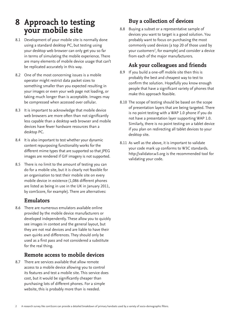## **8 Approach to testing your mobile site**

- 8.1 Development of your mobile site is normally done using a standard desktop PC, but testing using your desktop web browser can only get you so far in terms of simulating the mobile experience. There are many elements of mobile device usage that can't be replicated accurately in this way.
- 8.2 One of the most concerning issues is a mobile operator might restrict data packet sizes to something smaller than you expected resulting in your images or even your web page not loading, or taking much longer than is acceptable. Images may be compressed when accessed over cellular.
- 8.3 It is important to acknowledge that mobile device web browsers are more often than not significantly less capable than a desktop web browser and mobile devices have fewer hardware resources than a desktop PC.
- 8.4 It is also important to test whether your dynamic content repurposing functionality works for the different mime types that are supported so that JPEG images are rendered if GIF imagery is not supported.
- 8.5 There is no limit to the amount of testing you can do for a mobile site, but it is clearly not feasible for an organisation to test their mobile site on every mobile device in existence (1,086 different phones are listed as being in use in the UK in January 2011, by comScore, for example). There are alternatives:

#### **Emulators**

8.6 There are numerous emulators available online provided by the mobile device manufacturers or developed independently. These allow you to quickly see images in context and the general layout, but they are not real devices and are liable to have their own quirks and differences. They should only be used as a first pass and not considered a substitute for the real thing.

#### **Remote access to mobile devices**

8.7 There are services available that allow remote access to a mobile device allowing you to control its features and test a mobile site. This service does cost, but it would be significantly cheaper than purchasing lots of different phones. For a simple website, this is probably more than is needed.

#### **Buy a collection of devices**

8.8 Buying a subset or a representative sample of devices you want to target is a good solution. You probably want to focus on purchasing the most commonly used devices (a top 20 of those used by your customers<sup>2</sup>, for example) and consider a device from each of the major manufacturers.

#### **Ask your colleagues and friends**

- 8.9 If you build a one-off mobile site then this is probably the best and cheapest way to test to confirm the solution. Hopefully you know enough people that have a significant variety of phones that make this approach feasible.
- 8.10 The scope of testing should be based on the scope of presentation layers that are being targeted. There is no point testing with a WAP 1.0 phone if you do not have a presentation layer supporting WAP 1.0. Similarly, there is no point testing on a tablet device if you plan on redirecting all tablet devices to your desktop site.
- 8.11 As well as the above, it is important to validate your code mark up conforms to W3C standards. http://validator.w3.org is the recommended tool for validating your code.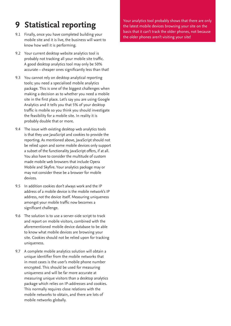## **9 Statistical reporting**

- 9.1 Finally, once you have completed building your mobile site and it is live, the business will want to know how well it is performing.
- 9.2 Your current desktop website analytics tool is probably not tracking all your mobile site traffic. A good desktop analytics tool may only be 50% accurate – cheaper ones significantly less than that!
- 9.3 You cannot rely on desktop analytical reporting tools; you need a specialised mobile analytics package. This is one of the biggest challenges when making a decision as to whether you need a mobile site in the first place. Let's say you are using Google Analytics and it tells you that 5% of your desktop traffic is mobile so you think you should investigate the feasibility for a mobile site. In reality it is probably double that or more.
- 9.4 The issue with existing desktop web analytics tools is that they use JavaScript and cookies to provide the reporting. As mentioned above, JavaScript should not be relied upon and some mobile devices only support a subset of the functionality JavaScript offers, if at all. You also have to consider the multitude of custom made mobile web browsers that include Opera Mobile and Skyfire. Your analytics package may or may not consider these be a browser for mobile devices.
- 9.5 In addition cookies don't always work and the IP address of a mobile device is the mobile network's IP address, not the device itself. Measuring uniqueness amongst your mobile traffic now becomes a significant challenge.
- 9.6 The solution is to use a server-side script to track and report on mobile visitors, combined with the aforementioned mobile device database to be able to know what mobile devices are browsing your site. Cookies should not be relied upon for tracking uniqueness.
- 9.7 A complete mobile analytics solution will obtain a unique identifier from the mobile networks that in most cases is the user's mobile phone number encrypted. This should be used for measuring uniqueness and will be far more accurate at measuring unique visitors than a desktop analytics package which relies on IP-addresses and cookies. This normally requires close relations with the mobile networks to obtain, and there are lots of mobile networks globally.

Your analytics tool probably shows that there are only the latest mobile devices browsing your site on the basis that it can't track the older phones, not because the older phones aren't visiting your site!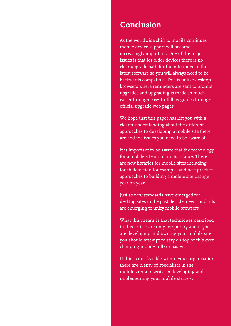### **Conclusion**

As the worldwide shift to mobile continues, mobile device support will become increasingly important. One of the major issues is that for older devices there is no clear upgrade path for them to move to the latest software so you will always need to be backwards compatible. This is unlike desktop browsers where reminders are sent to prompt upgrades and upgrading is made so much easier through easy-to-follow guides through official upgrade web pages.

We hope that this paper has left you with a clearer understanding about the different approaches to developing a mobile site there are and the issues you need to be aware of.

It is important to be aware that the technology for a mobile site is still in its infancy. There are new libraries for mobile sites including touch detection for example, and best practice approaches to building a mobile site change year on year.

Just as new standards have emerged for desktop sites in the past decade, new standards are emerging to unify mobile browsers.

What this means is that techniques described in this article are only temporary and if you are developing and owning your mobile site you should attempt to stay on top of this ever changing mobile roller-coaster.

If this is not feasible within your organisation, there are plenty of specialists in the mobile arena to assist in developing and implementing your mobile strategy.